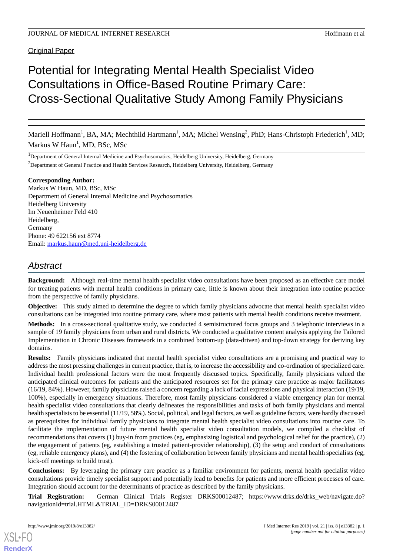**Original Paper** 

# Potential for Integrating Mental Health Specialist Video Consultations in Office-Based Routine Primary Care: Cross-Sectional Qualitative Study Among Family Physicians

Mariell Hoffmann<sup>1</sup>, BA, MA; Mechthild Hartmann<sup>1</sup>, MA; Michel Wensing<sup>2</sup>, PhD; Hans-Christoph Friederich<sup>1</sup>, MD; Markus W Haun<sup>1</sup>, MD, BSc, MSc

<sup>1</sup>Department of General Internal Medicine and Psychosomatics, Heidelberg University, Heidelberg, Germany <sup>2</sup>Department of General Practice and Health Services Research, Heidelberg University, Heidelberg, Germany

#### **Corresponding Author:**

Markus W Haun, MD, BSc, MSc Department of General Internal Medicine and Psychosomatics Heidelberg University Im Neuenheimer Feld 410 Heidelberg, Germany Phone: 49 622156 ext 8774 Email: [markus.haun@med.uni-heidelberg.de](mailto:markus.haun@med.uni-heidelberg.de)

## *Abstract*

**Background:** Although real-time mental health specialist video consultations have been proposed as an effective care model for treating patients with mental health conditions in primary care, little is known about their integration into routine practice from the perspective of family physicians.

**Objective:** This study aimed to determine the degree to which family physicians advocate that mental health specialist video consultations can be integrated into routine primary care, where most patients with mental health conditions receive treatment.

**Methods:** In a cross-sectional qualitative study, we conducted 4 semistructured focus groups and 3 telephonic interviews in a sample of 19 family physicians from urban and rural districts. We conducted a qualitative content analysis applying the Tailored Implementation in Chronic Diseases framework in a combined bottom-up (data-driven) and top-down strategy for deriving key domains.

**Results:** Family physicians indicated that mental health specialist video consultations are a promising and practical way to address the most pressing challenges in current practice, that is, to increase the accessibility and co-ordination of specialized care. Individual health professional factors were the most frequently discussed topics. Specifically, family physicians valued the anticipated clinical outcomes for patients and the anticipated resources set for the primary care practice as major facilitators (16/19, 84%). However, family physicians raised a concern regarding a lack of facial expressions and physical interaction (19/19, 100%), especially in emergency situations. Therefore, most family physicians considered a viable emergency plan for mental health specialist video consultations that clearly delineates the responsibilities and tasks of both family physicians and mental health specialists to be essential (11/19, 58%). Social, political, and legal factors, as well as guideline factors, were hardly discussed as prerequisites for individual family physicians to integrate mental health specialist video consultations into routine care. To facilitate the implementation of future mental health specialist video consultation models, we compiled a checklist of recommendations that covers (1) buy-in from practices (eg, emphasizing logistical and psychological relief for the practice), (2) the engagement of patients (eg, establishing a trusted patient-provider relationship), (3) the setup and conduct of consultations (eg, reliable emergency plans), and (4) the fostering of collaboration between family physicians and mental health specialists (eg, kick-off meetings to build trust).

**Conclusions:** By leveraging the primary care practice as a familiar environment for patients, mental health specialist video consultations provide timely specialist support and potentially lead to benefits for patients and more efficient processes of care. Integration should account for the determinants of practice as described by the family physicians.

**Trial Registration:** German Clinical Trials Register DRKS00012487; https://www.drks.de/drks web/navigate.do? navigationId=trial.HTML&TRIAL\_ID=DRKS00012487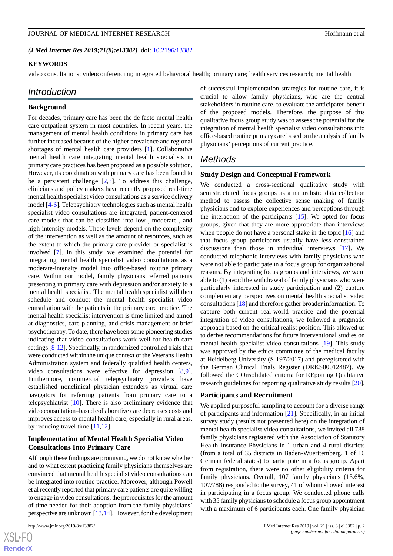*(J Med Internet Res 2019;21(8):e13382)* doi: **[10.2196/13382](http://dx.doi.org/10.2196/13382)** 

#### **KEYWORDS**

video consultations; videoconferencing; integrated behavioral health; primary care; health services research; mental health

#### *Introduction*

#### **Background**

For decades, primary care has been the de facto mental health care outpatient system in most countries. In recent years, the management of mental health conditions in primary care has further increased because of the higher prevalence and regional shortages of mental health care providers [[1\]](#page-7-0). Collaborative mental health care integrating mental health specialists in primary care practices has been proposed as a possible solution. However, its coordination with primary care has been found to be a persistent challenge  $[2,3]$  $[2,3]$  $[2,3]$ . To address this challenge, clinicians and policy makers have recently proposed real-time mental health specialist video consultations as a service delivery model [[4](#page-7-3)[-6](#page-7-4)]. Telepsychiatry technologies such as mental health specialist video consultations are integrated, patient-centered care models that can be classified into low-, moderate-, and high-intensity models. These levels depend on the complexity of the intervention as well as the amount of resources, such as the extent to which the primary care provider or specialist is involved [\[7](#page-8-0)]. In this study, we examined the potential for integrating mental health specialist video consultations as a moderate-intensity model into office-based routine primary care. Within our model, family physicians referred patients presenting in primary care with depression and/or anxiety to a mental health specialist. The mental health specialist will then schedule and conduct the mental health specialist video consultation with the patients in the primary care practice. The mental health specialist intervention is time limited and aimed at diagnostics, care planning, and crisis management or brief psychotherapy. To date, there have been some pioneering studies indicating that video consultations work well for health care settings [\[8](#page-8-1)[-12](#page-8-2)]. Specifically, in randomized controlled trials that were conducted within the unique context of the Veterans Health Administration system and federally qualified health centers, video consultations were effective for depression [\[8](#page-8-1),[9\]](#page-8-3). Furthermore, commercial telepsychiatry providers have established nonclinical physician extenders as virtual care navigators for referring patients from primary care to a telepsychiatrist [\[10](#page-8-4)]. There is also preliminary evidence that video consultation–based collaborative care decreases costs and improves access to mental health care, especially in rural areas, by reducing travel time [\[11](#page-8-5),[12\]](#page-8-2).

## **Implementation of Mental Health Specialist Video Consultations Into Primary Care**

Although these findings are promising, we do not know whether and to what extent practicing family physicians themselves are convinced that mental health specialist video consultations can be integrated into routine practice. Moreover, although Powell et al recently reported that primary care patients are quite willing to engage in video consultations, the prerequisites for the amount of time needed for their adoption from the family physicians' perspective are unknown [\[13](#page-8-6),[14\]](#page-8-7). However, for the development

of successful implementation strategies for routine care, it is crucial to allow family physicians, who are the central stakeholders in routine care, to evaluate the anticipated benefit of the proposed models. Therefore, the purpose of this qualitative focus group study was to assess the potential for the integration of mental health specialist video consultations into office-based routine primary care based on the analysis of family physicians' perceptions of current practice.

## *Methods*

#### **Study Design and Conceptual Framework**

We conducted a cross-sectional qualitative study with semistructured focus groups as a naturalistic data collection method to assess the collective sense making of family physicians and to explore experiences and perceptions through the interaction of the participants  $[15]$  $[15]$ . We opted for focus groups, given that they are more appropriate than interviews when people do not have a personal stake in the topic [\[16](#page-8-9)] and that focus group participants usually have less constrained discussions than those in individual interviews [[17\]](#page-8-10). We conducted telephonic interviews with family physicians who were not able to participate in a focus group for organizational reasons. By integrating focus groups and interviews, we were able to (1) avoid the withdrawal of family physicians who were particularly interested in study participation and (2) capture complementary perspectives on mental health specialist video consultations [[18\]](#page-8-11) and therefore gather broader information. To capture both current real-world practice and the potential integration of video consultations, we followed a pragmatic approach based on the critical realist position. This allowed us to derive recommendations for future interventional studies on mental health specialist video consultations [[19\]](#page-8-12). This study was approved by the ethics committee of the medical faculty at Heidelberg University (S-197/2017) and preregistered with the German Clinical Trials Register (DRKS00012487). We followed the COnsolidated criteria for REporting Qualitative research guidelines for reporting qualitative study results [[20\]](#page-8-13).

#### **Participants and Recruitment**

We applied purposeful sampling to account for a diverse range of participants and information [\[21](#page-8-14)]. Specifically, in an initial survey study (results not presented here) on the integration of mental health specialist video consultations, we invited all 788 family physicians registered with the Association of Statutory Health Insurance Physicians in 1 urban and 4 rural districts (from a total of 35 districts in Baden-Wuerttemberg, 1 of 16 German federal states) to participate in a focus group. Apart from registration, there were no other eligibility criteria for family physicians. Overall, 107 family physicians (13.6%, 107/788) responded to the survey, 41 of whom showed interest in participating in a focus group. We conducted phone calls with 35 family physicians to schedule a focus group appointment with a maximum of 6 participants each. One family physician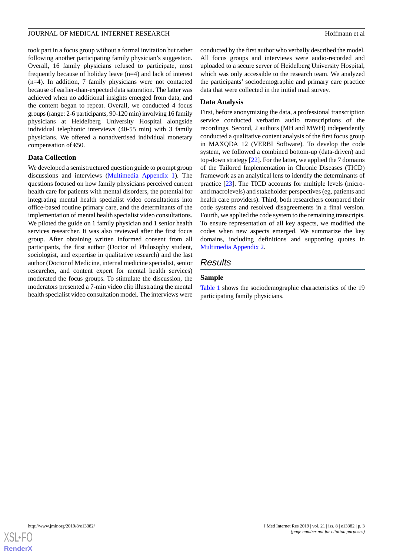took part in a focus group without a formal invitation but rather following another participating family physician's suggestion. Overall, 16 family physicians refused to participate, most frequently because of holiday leave (n=4) and lack of interest (n=4). In addition, 7 family physicians were not contacted because of earlier-than-expected data saturation. The latter was achieved when no additional insights emerged from data, and the content began to repeat. Overall, we conducted 4 focus groups (range: 2-6 participants, 90-120 min) involving 16 family physicians at Heidelberg University Hospital alongside individual telephonic interviews (40-55 min) with 3 family physicians. We offered a nonadvertised individual monetary compensation of  $\epsilon$ 50.

#### **Data Collection**

We developed a semistructured question guide to prompt group discussions and interviews [\(Multimedia Appendix 1\)](#page-7-5). The questions focused on how family physicians perceived current health care for patients with mental disorders, the potential for integrating mental health specialist video consultations into office-based routine primary care, and the determinants of the implementation of mental health specialist video consultations. We piloted the guide on 1 family physician and 1 senior health services researcher. It was also reviewed after the first focus group. After obtaining written informed consent from all participants, the first author (Doctor of Philosophy student, sociologist, and expertise in qualitative research) and the last author (Doctor of Medicine, internal medicine specialist, senior researcher, and content expert for mental health services) moderated the focus groups. To stimulate the discussion, the moderators presented a 7-min video clip illustrating the mental health specialist video consultation model. The interviews were

conducted by the first author who verbally described the model. All focus groups and interviews were audio-recorded and uploaded to a secure server of Heidelberg University Hospital, which was only accessible to the research team. We analyzed the participants' sociodemographic and primary care practice data that were collected in the initial mail survey.

#### **Data Analysis**

First, before anonymizing the data, a professional transcription service conducted verbatim audio transcriptions of the recordings. Second, 2 authors (MH and MWH) independently conducted a qualitative content analysis of the first focus group in MAXQDA 12 (VERBI Software). To develop the code system, we followed a combined bottom-up (data-driven) and top-down strategy [\[22](#page-8-15)]. For the latter, we applied the 7 domains of the Tailored Implementation in Chronic Diseases (TICD) framework as an analytical lens to identify the determinants of practice [[23\]](#page-8-16). The TICD accounts for multiple levels (microand macrolevels) and stakeholder perspectives (eg, patients and health care providers). Third, both researchers compared their code systems and resolved disagreements in a final version. Fourth, we applied the code system to the remaining transcripts. To ensure representation of all key aspects, we modified the codes when new aspects emerged. We summarize the key domains, including definitions and supporting quotes in [Multimedia Appendix 2.](#page-7-6)

## *Results*

#### **Sample**

[Table 1](#page-3-0) shows the sociodemographic characteristics of the 19 participating family physicians.

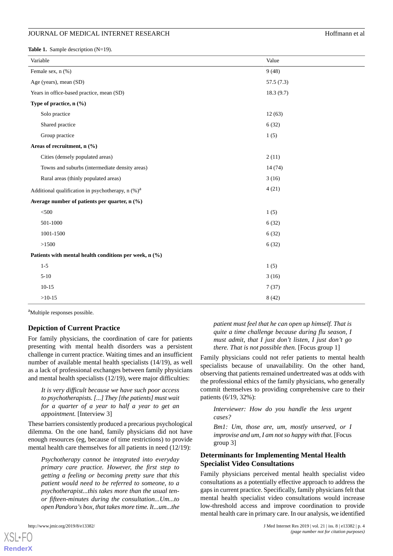<span id="page-3-0"></span>Table 1. Sample description (N=19).

| Variable                                                      | Value     |
|---------------------------------------------------------------|-----------|
| Female sex, n (%)                                             | 9(48)     |
| Age (years), mean (SD)                                        | 57.5(7.3) |
| Years in office-based practice, mean (SD)                     | 18.3(9.7) |
| Type of practice, $n$ (%)                                     |           |
| Solo practice                                                 | 12(63)    |
| Shared practice                                               | 6(32)     |
| Group practice                                                | 1(5)      |
| Areas of recruitment, n (%)                                   |           |
| Cities (densely populated areas)                              | 2(11)     |
| Towns and suburbs (intermediate density areas)                | 14(74)    |
| Rural areas (thinly populated areas)                          | 3(16)     |
| Additional qualification in psychotherapy, n (%) <sup>a</sup> | 4(21)     |
| Average number of patients per quarter, n (%)                 |           |
| $<$ 500                                                       | 1(5)      |
| 501-1000                                                      | 6(32)     |
| 1001-1500                                                     | 6(32)     |
| >1500                                                         | 6(32)     |
| Patients with mental health conditions per week, n (%)        |           |
| $1-5$                                                         | 1(5)      |
| $5 - 10$                                                      | 3(16)     |
| $10-15$                                                       | 7(37)     |
| $>10-15$                                                      | 8(42)     |

<sup>a</sup>Multiple responses possible.

#### **Depiction of Current Practice**

For family physicians, the coordination of care for patients presenting with mental health disorders was a persistent challenge in current practice. Waiting times and an insufficient number of available mental health specialists (14/19), as well as a lack of professional exchanges between family physicians and mental health specialists (12/19), were major difficulties:

*It is very difficult because we have such poor access to psychotherapists. [...] They [the patients] must wait for a quarter of a year to half a year to get an appointment.* [Interview 3]

These barriers consistently produced a precarious psychological dilemma. On the one hand, family physicians did not have enough resources (eg, because of time restrictions) to provide mental health care themselves for all patients in need (12/19):

*Psychotherapy cannot be integrated into everyday primary care practice. However, the first step to getting a feeling or becoming pretty sure that this patient would need to be referred to someone, to a psychotherapist...this takes more than the usual tenor fifteen-minutes during the consultation...Um...to open Pandora's box, that takes more time. It...um...the*

[XSL](http://www.w3.org/Style/XSL)•FO **[RenderX](http://www.renderx.com/)**

*patient must feel that he can open up himself. That is quite a time challenge because during flu season, I must admit, that I just don't listen, I just don't go there. That is not possible then.* [Focus group 1]

Family physicians could not refer patients to mental health specialists because of unavailability. On the other hand, observing that patients remained undertreated was at odds with the professional ethics of the family physicians, who generally commit themselves to providing comprehensive care to their patients (6/19, 32%):

*Interviewer: How do you handle the less urgent cases?*

*Bm1: Um, those are, um, mostly unserved, or I improvise and um, I am not so happy with that.* [Focus group 3]

## **Determinants for Implementing Mental Health Specialist Video Consultations**

Family physicians perceived mental health specialist video consultations as a potentially effective approach to address the gaps in current practice. Specifically, family physicians felt that mental health specialist video consultations would increase low-threshold access and improve coordination to provide mental health care in primary care. In our analysis, we identified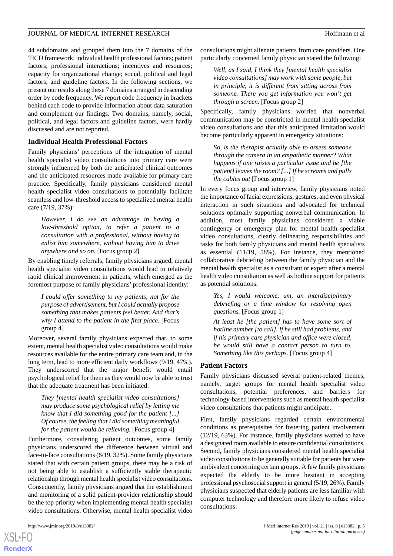44 subdomains and grouped them into the 7 domains of the TICD framework: individual health professional factors; patient factors; professional interactions; incentives and resources; capacity for organizational change; social, political and legal factors; and guideline factors. In the following sections, we present our results along these 7 domains arranged in descending order by code frequency. We report code frequency in brackets behind each code to provide information about data saturation and complement our findings. Two domains, namely, social, political, and legal factors and guideline factors, were hardly discussed and are not reported.

## **Individual Health Professional Factors**

Family physicians' perceptions of the integration of mental health specialist video consultations into primary care were strongly influenced by both the anticipated clinical outcomes and the anticipated resources made available for primary care practice. Specifically, family physicians considered mental health specialist video consultations to potentially facilitate seamless and low-threshold access to specialized mental health care (7/19, 37%):

*However, I do see an advantage in having a low-threshold option, to refer a patient to a consultation with a professional, without having to enlist him somewhere, without having him to drive anywhere and so on.* [Focus group 2]

By enabling timely referrals, family physicians argued, mental health specialist video consultations would lead to relatively rapid clinical improvement in patients, which emerged as the foremost purpose of family physicians' professional identity:

*I could offer something to my patients, not for the purpose of advertisement, but I could actually propose something that makes patients feel better. And that's why I attend to the patient in the first place.* [Focus group 4]

Moreover, several family physicians expected that, to some extent, mental health specialist video consultations would make resources available for the entire primary care team and, in the long term, lead to more efficient daily workflows (9/19, 47%). They underscored that the major benefit would entail psychological relief for them as they would now be able to trust that the adequate treatment has been initiated:

*They [mental health specialist video consultations] may produce some psychological relief by letting me know that I did something good for the patient [...] Of course, the feeling that I did something meaningful for the patient would be relieving.* [Focus group 4]

Furthermore, considering patient outcomes, some family physicians underscored the difference between virtual and face-to-face consultations (6/19, 32%). Some family physicians stated that with certain patient groups, there may be a risk of not being able to establish a sufficiently stable therapeutic relationship through mental health specialist video consultations. Consequently, family physicians argued that the establishment and monitoring of a solid patient-provider relationship should be the top priority when implementing mental health specialist video consultations. Otherwise, mental health specialist video

[XSL](http://www.w3.org/Style/XSL)•FO **[RenderX](http://www.renderx.com/)**

consultations might alienate patients from care providers. One particularly concerned family physician stated the following:

*Well, as I said, I think they [mental health specialist video consultations] may work with some people, but in principle, it is different from sitting across from someone. There you get information you won't get through a screen.* [Focus group 2]

Specifically, family physicians worried that nonverbal communication may be constricted in mental health specialist video consultations and that this anticipated limitation would become particularly apparent in emergency situations:

*So, is the therapist actually able to assess someone through the camera in an empathetic manner? What happens if one raises a particular issue and he [the patient] leaves the room? [...] If he screams and pulls the cables out* [Focus group 1]

In every focus group and interview, family physicians noted the importance of facial expressions, gestures, and even physical interaction in such situations and advocated for technical solutions optimally supporting nonverbal communication. In addition, most family physicians considered a viable contingency or emergency plan for mental health specialist video consultations, clearly delineating responsibilities and tasks for both family physicians and mental health specialists as essential (11/19, 58%). For instance, they mentioned collaborative debriefing between the family physician and the mental health specialist as a consultant or expert after a mental health video consultation as well as hotline support for patients as potential solutions:

*Yes, I would welcome, um, an interdisciplinary debriefing or a time window for resolving open questions.* [Focus group 1]

*At least he [the patient] has to have some sort of hotline number [to call]. If he still had problems, and if his primary care physician and office were closed, he would still have a contact person to turn to. Something like this perhaps.* [Focus group 4]

#### **Patient Factors**

Family physicians discussed several patient-related themes, namely, target groups for mental health specialist video consultations, potential preferences, and barriers for technology-based interventions such as mental health specialist video consultations that patients might anticipate.

First, family physicians regarded certain environmental conditions as prerequisites for fostering patient involvement (12/19, 63%). For instance, family physicians wanted to have a designated room available to ensure confidential consultations. Second, family physicians considered mental health specialist video consultations to be generally suitable for patients but were ambivalent concerning certain groups. A few family physicians expected the elderly to be more hesitant in accepting professional psychosocial support in general (5/19, 26%). Family physicians suspected that elderly patients are less familiar with computer technology and therefore more likely to refuse video consultations: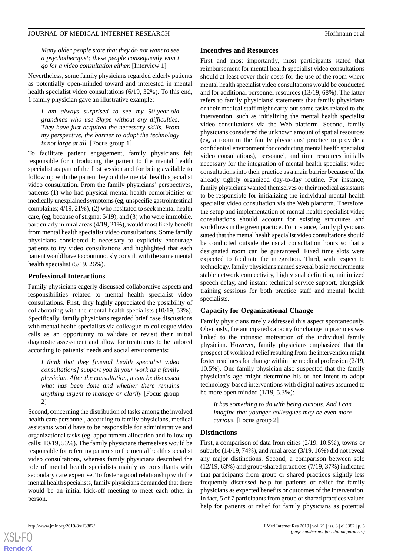*Many older people state that they do not want to see a psychotherapist; these people consequently won't go for a video consultation either.* [Interview 1]

Nevertheless, some family physicians regarded elderly patients as potentially open-minded toward and interested in mental health specialist video consultations (6/19, 32%). To this end, 1 family physician gave an illustrative example:

*I am always surprised to see my 90-year-old grandmas who use Skype without any difficulties. They have just acquired the necessary skills. From my perspective, the barrier to adopt the technology is not large at all.* [Focus group 1]

To facilitate patient engagement, family physicians felt responsible for introducing the patient to the mental health specialist as part of the first session and for being available to follow up with the patient beyond the mental health specialist video consultation. From the family physicians' perspectives, patients (1) who had physical-mental health comorbidities or medically unexplained symptoms (eg, unspecific gastrointestinal complaints; 4/19, 21%), (2) who hesitated to seek mental health care, (eg, because of stigma; 5/19), and (3) who were immobile, particularly in rural areas (4/19, 21%), would most likely benefit from mental health specialist video consultations. Some family physicians considered it necessary to explicitly encourage patients to try video consultations and highlighted that each patient would have to continuously consult with the same mental health specialist (5/19, 26%).

#### **Professional Interactions**

Family physicians eagerly discussed collaborative aspects and responsibilities related to mental health specialist video consultations. First, they highly appreciated the possibility of collaborating with the mental health specialists (10/19, 53%). Specifically, family physicians regarded brief case discussions with mental health specialists via colleague-to-colleague video calls as an opportunity to validate or revisit their initial diagnostic assessment and allow for treatments to be tailored according to patients' needs and social environments:

*I think that they [mental health specialist video consultations] support you in your work as a family physician. After the consultation, it can be discussed what has been done and whether there remains anything urgent to manage or clarify* [Focus group 2]

Second, concerning the distribution of tasks among the involved health care personnel, according to family physicians, medical assistants would have to be responsible for administrative and organizational tasks (eg, appointment allocation and follow-up calls; 10/19, 53%). The family physicians themselves would be responsible for referring patients to the mental health specialist video consultations, whereas family physicians described the role of mental health specialists mainly as consultants with secondary care expertise. To foster a good relationship with the mental health specialists, family physicians demanded that there would be an initial kick-off meeting to meet each other in person.

#### **Incentives and Resources**

First and most importantly, most participants stated that reimbursement for mental health specialist video consultations should at least cover their costs for the use of the room where mental health specialist video consultations would be conducted and for additional personnel resources (13/19, 68%). The latter refers to family physicians' statements that family physicians or their medical staff might carry out some tasks related to the intervention, such as initializing the mental health specialist video consultations via the Web platform. Second, family physicians considered the unknown amount of spatial resources (eg, a room in the family physicians' practice to provide a confidential environment for conducting mental health specialist video consultations), personnel, and time resources initially necessary for the integration of mental health specialist video consultations into their practice as a main barrier because of the already tightly organized day-to-day routine. For instance, family physicians wanted themselves or their medical assistants to be responsible for initializing the individual mental health specialist video consultation via the Web platform. Therefore, the setup and implementation of mental health specialist video consultations should account for existing structures and workflows in the given practice. For instance, family physicians stated that the mental health specialist video consultations should be conducted outside the usual consultation hours so that a designated room can be guaranteed. Fixed time slots were expected to facilitate the integration. Third, with respect to technology, family physicians named several basic requirements: stable network connectivity, high visual definition, minimized speech delay, and instant technical service support, alongside training sessions for both practice staff and mental health specialists.

#### **Capacity for Organizational Change**

Family physicians rarely addressed this aspect spontaneously. Obviously, the anticipated capacity for change in practices was linked to the intrinsic motivation of the individual family physician. However, family physicians emphasized that the prospect of workload relief resulting from the intervention might foster readiness for change within the medical profession (2/19, 10.5%). One family physician also suspected that the family physician's age might determine his or her intent to adopt technology-based interventions with digital natives assumed to be more open minded (1/19, 5.3%):

*It has something to do with being curious. And I can imagine that younger colleagues may be even more curious.* [Focus group 2]

#### **Distinctions**

First, a comparison of data from cities (2/19, 10.5%), towns or suburbs (14/19, 74%), and rural areas (3/19, 16%) did not reveal any major distinctions. Second, a comparison between solo (12/19, 63%) and group/shared practices (7/19, 37%) indicated that participants from group or shared practices slightly less frequently discussed help for patients or relief for family physicians as expected benefits or outcomes of the intervention. In fact, 5 of 7 participants from group or shared practices valued help for patients or relief for family physicians as potential

 $XS$ -FO **[RenderX](http://www.renderx.com/)**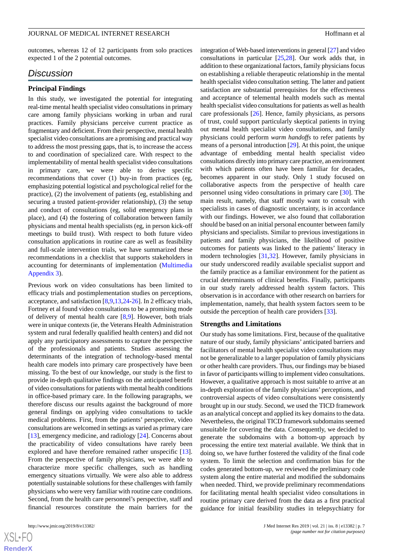outcomes, whereas 12 of 12 participants from solo practices expected 1 of the 2 potential outcomes.

## *Discussion*

#### **Principal Findings**

In this study, we investigated the potential for integrating real-time mental health specialist video consultations in primary care among family physicians working in urban and rural practices. Family physicians perceive current practice as fragmentary and deficient. From their perspective, mental health specialist video consultations are a promising and practical way to address the most pressing gaps, that is, to increase the access to and coordination of specialized care. With respect to the implementability of mental health specialist video consultations in primary care, we were able to derive specific recommendations that cover (1) buy-in from practices (eg, emphasizing potential logistical and psychological relief for the practice), (2) the involvement of patients (eg, establishing and securing a trusted patient-provider relationship), (3) the setup and conduct of consultations (eg, solid emergency plans in place), and (4) the fostering of collaboration between family physicians and mental health specialists (eg, in person kick-off meetings to build trust). With respect to both future video consultation applications in routine care as well as feasibility and full-scale intervention trials, we have summarized these recommendations in a checklist that supports stakeholders in accounting for determinants of implementation ([Multimedia](#page-7-7) [Appendix 3\)](#page-7-7).

Previous work on video consultations has been limited to efficacy trials and postimplementation studies on perceptions, acceptance, and satisfaction [[8,](#page-8-1)[9](#page-8-3),[13,](#page-8-6)[24](#page-8-17)-[26\]](#page-8-18). In 2 efficacy trials, Fortney et al found video consultations to be a promising mode of delivery of mental health care [\[8](#page-8-1),[9](#page-8-3)]. However, both trials were in unique contexts (ie, the Veterans Health Administration system and rural federally qualified health centers) and did not apply any participatory assessments to capture the perspective of the professionals and patients. Studies assessing the determinants of the integration of technology-based mental health care models into primary care prospectively have been missing. To the best of our knowledge, our study is the first to provide in-depth qualitative findings on the anticipated benefit of video consultations for patients with mental health conditions in office-based primary care. In the following paragraphs, we therefore discuss our results against the background of more general findings on applying video consultations to tackle medical problems. First, from the patients' perspective, video consultations are welcomed in settings as varied as primary care [[13\]](#page-8-6), emergency medicine, and radiology [\[24](#page-8-17)]. Concerns about the practicability of video consultations have rarely been explored and have therefore remained rather unspecific [[13\]](#page-8-6). From the perspective of family physicians, we were able to characterize more specific challenges, such as handling emergency situations virtually. We were also able to address potentially sustainable solutions for these challenges with family physicians who were very familiar with routine care conditions. Second, from the health care personnel's perspective, staff and financial resources constitute the main barriers for the

integration of Web-based interventions in general [[27\]](#page-8-19) and video consultations in particular [\[25](#page-8-20),[28\]](#page-8-21). Our work adds that, in addition to these organizational factors, family physicians focus on establishing a reliable therapeutic relationship in the mental health specialist video consultation setting. The latter and patient satisfaction are substantial prerequisites for the effectiveness and acceptance of telemental health models such as mental health specialist video consultations for patients as well as health care professionals [[26\]](#page-8-18). Hence, family physicians, as persons of trust, could support particularly skeptical patients in trying out mental health specialist video consultations, and family physicians could perform *warm handoffs* to refer patients by means of a personal introduction [\[29](#page-9-0)]. At this point, the unique advantage of embedding mental health specialist video consultations directly into primary care practice, an environment with which patients often have been familiar for decades, becomes apparent in our study. Only 1 study focused on collaborative aspects from the perspective of health care personnel using video consultations in primary care [\[30](#page-9-1)]. The main result, namely, that staff mostly want to consult with specialists in cases of diagnostic uncertainty, is in accordance with our findings. However, we also found that collaboration should be based on an initial personal encounter between family physicians and specialists. Similar to previous investigations in patients and family physicians, the likelihood of positive outcomes for patients was linked to the patients' literacy in modern technologies [[31,](#page-9-2)[32](#page-9-3)]. However, family physicians in our study underscored readily available specialist support and the family practice as a familiar environment for the patient as crucial determinants of clinical benefits. Finally, participants in our study rarely addressed health system factors. This observation is in accordance with other research on barriers for implementation, namely, that health system factors seem to be outside the perception of health care providers [[33\]](#page-9-4).

#### **Strengths and Limitations**

Our study has some limitations. First, because of the qualitative nature of our study, family physicians' anticipated barriers and facilitators of mental health specialist video consultations may not be generalizable to a larger population of family physicians or other health care providers. Thus, our findings may be biased in favor of participants willing to implement video consultations. However, a qualitative approach is most suitable to arrive at an in-depth exploration of the family physicians' perceptions, and controversial aspects of video consultations were consistently brought up in our study. Second, we used the TICD framework as an analytical concept and applied its key domains to the data. Nevertheless, the original TICD framework subdomains seemed unsuitable for covering the data. Consequently, we decided to generate the subdomains with a bottom-up approach by processing the entire text material available. We think that in doing so, we have further fostered the validity of the final code system. To limit the selection and confirmation bias for the codes generated bottom-up, we reviewed the preliminary code system along the entire material and modified the subdomains when needed. Third, we provide preliminary recommendations for facilitating mental health specialist video consultations in routine primary care derived from the data as a first practical guidance for initial feasibility studies in telepsychiatry for

```
XS-FO
RenderX
```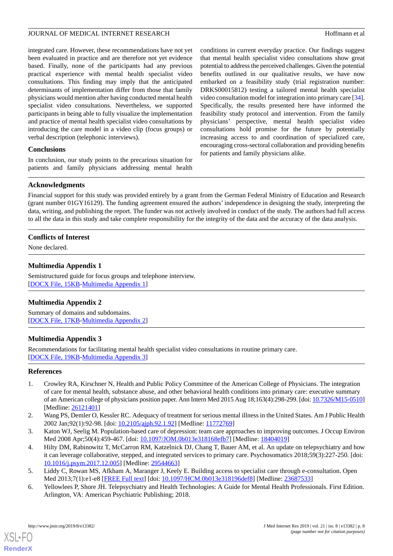integrated care. However, these recommendations have not yet been evaluated in practice and are therefore not yet evidence based. Finally, none of the participants had any previous practical experience with mental health specialist video consultations. This finding may imply that the anticipated determinants of implementation differ from those that family physicians would mention after having conducted mental health specialist video consultations. Nevertheless, we supported participants in being able to fully visualize the implementation and practice of mental health specialist video consultations by introducing the care model in a video clip (focus groups) or verbal description (telephonic interviews).

## **Conclusions**

In conclusion, our study points to the precarious situation for patients and family physicians addressing mental health

conditions in current everyday practice. Our findings suggest that mental health specialist video consultations show great potential to address the perceived challenges. Given the potential benefits outlined in our qualitative results, we have now embarked on a feasibility study (trial registration number: DRKS00015812) testing a tailored mental health specialist video consultation model for integration into primary care [[34\]](#page-9-5). Specifically, the results presented here have informed the feasibility study protocol and intervention. From the family physicians' perspective, mental health specialist video consultations hold promise for the future by potentially increasing access to and coordination of specialized care, encouraging cross-sectoral collaboration and providing benefits for patients and family physicians alike.

## **Acknowledgments**

Financial support for this study was provided entirely by a grant from the German Federal Ministry of Education and Research (grant number 01GY16129). The funding agreement ensured the authors' independence in designing the study, interpreting the data, writing, and publishing the report. The funder was not actively involved in conduct of the study. The authors had full access to all the data in this study and take complete responsibility for the integrity of the data and the accuracy of the data analysis.

## <span id="page-7-5"></span>**Conflicts of Interest**

None declared.

## **Multimedia Appendix 1**

<span id="page-7-6"></span>Semistructured guide for focus groups and telephone interview. [[DOCX File, 15KB-Multimedia Appendix 1\]](https://jmir.org/api/download?alt_name=jmir_v21i8e13382_app1.docx&filename=310bd601d8a8311ad3460a07984bbed5.docx)

## <span id="page-7-7"></span>**Multimedia Appendix 2**

Summary of domains and subdomains. [[DOCX File, 17KB-Multimedia Appendix 2\]](https://jmir.org/api/download?alt_name=jmir_v21i8e13382_app2.docx&filename=1019b77bcf4fe269974fb4a38975b9a7.docx)

## **Multimedia Appendix 3**

<span id="page-7-0"></span>Recommendations for facilitating mental health specialist video consultations in routine primary care. [[DOCX File, 19KB-Multimedia Appendix 3\]](https://jmir.org/api/download?alt_name=jmir_v21i8e13382_app3.docx&filename=d257b5b36b7008f0808defad23fe75d6.docx)

## <span id="page-7-1"></span>**References**

- <span id="page-7-2"></span>1. Crowley RA, Kirschner N, Health and Public Policy Committee of the American College of Physicians. The integration of care for mental health, substance abuse, and other behavioral health conditions into primary care: executive summary of an American college of physicians position paper. Ann Intern Med 2015 Aug 18;163(4):298-299. [doi: [10.7326/M15-0510\]](http://dx.doi.org/10.7326/M15-0510) [Medline: [26121401](http://www.ncbi.nlm.nih.gov/entrez/query.fcgi?cmd=Retrieve&db=PubMed&list_uids=26121401&dopt=Abstract)]
- <span id="page-7-3"></span>2. Wang PS, Demler O, Kessler RC. Adequacy of treatment for serious mental illness in the United States. Am J Public Health 2002 Jan;92(1):92-98. [doi: [10.2105/ajph.92.1.92](http://dx.doi.org/10.2105/ajph.92.1.92)] [Medline: [11772769](http://www.ncbi.nlm.nih.gov/entrez/query.fcgi?cmd=Retrieve&db=PubMed&list_uids=11772769&dopt=Abstract)]
- <span id="page-7-4"></span>3. Katon WJ, Seelig M. Population-based care of depression: team care approaches to improving outcomes. J Occup Environ Med 2008 Apr;50(4):459-467. [doi: [10.1097/JOM.0b013e318168efb7](http://dx.doi.org/10.1097/JOM.0b013e318168efb7)] [Medline: [18404019](http://www.ncbi.nlm.nih.gov/entrez/query.fcgi?cmd=Retrieve&db=PubMed&list_uids=18404019&dopt=Abstract)]
- 4. Hilty DM, Rabinowitz T, McCarron RM, Katzelnick DJ, Chang T, Bauer AM, et al. An update on telepsychiatry and how it can leverage collaborative, stepped, and integrated services to primary care. Psychosomatics 2018;59(3):227-250. [doi: [10.1016/j.psym.2017.12.005](http://dx.doi.org/10.1016/j.psym.2017.12.005)] [Medline: [29544663](http://www.ncbi.nlm.nih.gov/entrez/query.fcgi?cmd=Retrieve&db=PubMed&list_uids=29544663&dopt=Abstract)]
- 5. Liddy C, Rowan MS, Afkham A, Maranger J, Keely E. Building access to specialist care through e-consultation. Open Med 2013;7(1):e1-e8 [[FREE Full text](http://europepmc.org/abstract/MED/23687533)] [doi: [10.1097/HCM.0b013e318196def8](http://dx.doi.org/10.1097/HCM.0b013e318196def8)] [Medline: [23687533\]](http://www.ncbi.nlm.nih.gov/entrez/query.fcgi?cmd=Retrieve&db=PubMed&list_uids=23687533&dopt=Abstract)
- 6. Yellowlees P, Shore JH. Telepsychiatry and Health Technologies: A Guide for Mental Health Professionals. First Edition. Arlington, VA: American Psychiatric Publishing; 2018.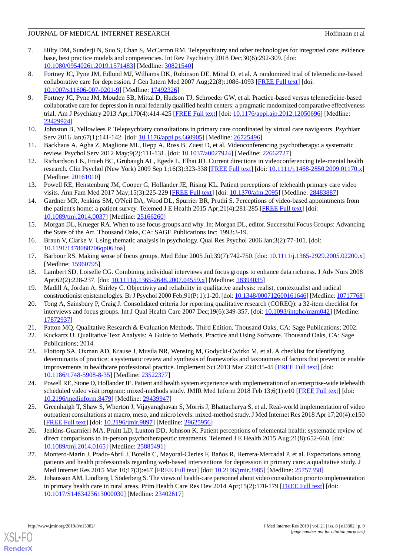- <span id="page-8-0"></span>7. Hilty DM, Sunderji N, Suo S, Chan S, McCarron RM. Telepsychiatry and other technologies for integrated care: evidence base, best practice models and competencies. Int Rev Psychiatry 2018 Dec;30(6):292-309. [doi: [10.1080/09540261.2019.1571483\]](http://dx.doi.org/10.1080/09540261.2019.1571483) [Medline: [30821540\]](http://www.ncbi.nlm.nih.gov/entrez/query.fcgi?cmd=Retrieve&db=PubMed&list_uids=30821540&dopt=Abstract)
- <span id="page-8-1"></span>8. Fortney JC, Pyne JM, Edlund MJ, Williams DK, Robinson DE, Mittal D, et al. A randomized trial of telemedicine-based collaborative care for depression. J Gen Intern Med 2007 Aug;22(8):1086-1093 [[FREE Full text](http://europepmc.org/abstract/MED/17492326)] [doi: [10.1007/s11606-007-0201-9\]](http://dx.doi.org/10.1007/s11606-007-0201-9) [Medline: [17492326](http://www.ncbi.nlm.nih.gov/entrez/query.fcgi?cmd=Retrieve&db=PubMed&list_uids=17492326&dopt=Abstract)]
- <span id="page-8-3"></span>9. Fortney JC, Pyne JM, Mouden SB, Mittal D, Hudson TJ, Schroeder GW, et al. Practice-based versus telemedicine-based collaborative care for depression in rural federally qualified health centers: a pragmatic randomized comparative effectiveness trial. Am J Psychiatry 2013 Apr;170(4):414-425 [[FREE Full text](http://europepmc.org/abstract/MED/23429924)] [doi: [10.1176/appi.ajp.2012.12050696\]](http://dx.doi.org/10.1176/appi.ajp.2012.12050696) [Medline: [23429924](http://www.ncbi.nlm.nih.gov/entrez/query.fcgi?cmd=Retrieve&db=PubMed&list_uids=23429924&dopt=Abstract)]
- <span id="page-8-5"></span><span id="page-8-4"></span>10. Johnston B, Yellowlees P. Telepsychiatry consultations in primary care coordinated by virtual care navigators. Psychiatr Serv 2016 Jan; 67(1): 141-142. [doi: 10.1176/appi.ps. 660905] [Medline: [26725496](http://www.ncbi.nlm.nih.gov/entrez/query.fcgi?cmd=Retrieve&db=PubMed&list_uids=26725496&dopt=Abstract)]
- <span id="page-8-2"></span>11. Backhaus A, Agha Z, Maglione ML, Repp A, Ross B, Zuest D, et al. Videoconferencing psychotherapy: a systematic review. Psychol Serv 2012 May;9(2):111-131. [doi: [10.1037/a0027924](http://dx.doi.org/10.1037/a0027924)] [Medline: [22662727\]](http://www.ncbi.nlm.nih.gov/entrez/query.fcgi?cmd=Retrieve&db=PubMed&list_uids=22662727&dopt=Abstract)
- <span id="page-8-6"></span>12. Richardson LK, Frueh BC, Grubaugh AL, Egede L, Elhai JD. Current directions in videoconferencing tele-mental health research. Clin Psychol (New York) 2009 Sep 1;16(3):323-338 [[FREE Full text](http://europepmc.org/abstract/MED/20161010)] [doi: [10.1111/j.1468-2850.2009.01170.x\]](http://dx.doi.org/10.1111/j.1468-2850.2009.01170.x) [Medline: [20161010](http://www.ncbi.nlm.nih.gov/entrez/query.fcgi?cmd=Retrieve&db=PubMed&list_uids=20161010&dopt=Abstract)]
- <span id="page-8-7"></span>13. Powell RE, Henstenburg JM, Cooper G, Hollander JE, Rising KL. Patient perceptions of telehealth primary care video visits. Ann Fam Med 2017 May;15(3):225-229 [\[FREE Full text\]](http://www.annfammed.org/cgi/pmidlookup?view=long&pmid=28483887) [doi: [10.1370/afm.2095\]](http://dx.doi.org/10.1370/afm.2095) [Medline: [28483887](http://www.ncbi.nlm.nih.gov/entrez/query.fcgi?cmd=Retrieve&db=PubMed&list_uids=28483887&dopt=Abstract)]
- <span id="page-8-8"></span>14. Gardner MR, Jenkins SM, O'Neil DA, Wood DL, Spurrier BR, Pruthi S. Perceptions of video-based appointments from the patient's home: a patient survey. Telemed J E Health 2015 Apr;21(4):281-285 [[FREE Full text](http://europepmc.org/abstract/MED/25166260)] [doi: [10.1089/tmj.2014.0037](http://dx.doi.org/10.1089/tmj.2014.0037)] [Medline: [25166260\]](http://www.ncbi.nlm.nih.gov/entrez/query.fcgi?cmd=Retrieve&db=PubMed&list_uids=25166260&dopt=Abstract)
- <span id="page-8-10"></span><span id="page-8-9"></span>15. Morgan DL, Krueger RA. When to use focus groups and why. In: Morgan DL, editor. Successful Focus Groups: Advancing the State of the Art. Thousand Oaks, CA: SAGE Publications Inc; 1993:3-19.
- <span id="page-8-11"></span>16. Braun V, Clarke V. Using thematic analysis in psychology. Qual Res Psychol 2006 Jan;3(2):77-101. [doi: [10.1191/1478088706qp063oa](http://dx.doi.org/10.1191/1478088706qp063oa)]
- <span id="page-8-12"></span>17. Barbour RS. Making sense of focus groups. Med Educ 2005 Jul;39(7):742-750. [doi: [10.1111/j.1365-2929.2005.02200.x](http://dx.doi.org/10.1111/j.1365-2929.2005.02200.x)] [Medline: [15960795](http://www.ncbi.nlm.nih.gov/entrez/query.fcgi?cmd=Retrieve&db=PubMed&list_uids=15960795&dopt=Abstract)]
- <span id="page-8-13"></span>18. Lambert SD, Loiselle CG. Combining individual interviews and focus groups to enhance data richness. J Adv Nurs 2008 Apr;62(2):228-237. [doi: [10.1111/j.1365-2648.2007.04559.x](http://dx.doi.org/10.1111/j.1365-2648.2007.04559.x)] [Medline: [18394035](http://www.ncbi.nlm.nih.gov/entrez/query.fcgi?cmd=Retrieve&db=PubMed&list_uids=18394035&dopt=Abstract)]
- <span id="page-8-14"></span>19. Madill A, Jordan A, Shirley C. Objectivity and reliability in qualitative analysis: realist, contextualist and radical constructionist epistemologies. Br J Psychol 2000 Feb;91(Pt 1):1-20. [doi: [10.1348/000712600161646](http://dx.doi.org/10.1348/000712600161646)] [Medline: [10717768](http://www.ncbi.nlm.nih.gov/entrez/query.fcgi?cmd=Retrieve&db=PubMed&list_uids=10717768&dopt=Abstract)]
- <span id="page-8-15"></span>20. Tong A, Sainsbury P, Craig J. Consolidated criteria for reporting qualitative research (COREQ): a 32-item checklist for interviews and focus groups. Int J Qual Health Care 2007 Dec;19(6):349-357. [doi: [10.1093/intqhc/mzm042\]](http://dx.doi.org/10.1093/intqhc/mzm042) [Medline: [17872937](http://www.ncbi.nlm.nih.gov/entrez/query.fcgi?cmd=Retrieve&db=PubMed&list_uids=17872937&dopt=Abstract)]
- <span id="page-8-16"></span>21. Patton MQ. Qualitative Research & Evaluation Methods. Third Edition. Thousand Oaks, CA: Sage Publications; 2002.
- 22. Kuckartz U. Qualitative Text Analysis: A Guide to Methods, Practice and Using Software. Thousand Oaks, CA: Sage Publications; 2014.
- <span id="page-8-20"></span><span id="page-8-17"></span>23. Flottorp SA, Oxman AD, Krause J, Musila NR, Wensing M, Godycki-Cwirko M, et al. A checklist for identifying determinants of practice: a systematic review and synthesis of frameworks and taxonomies of factors that prevent or enable improvements in healthcare professional practice. Implement Sci 2013 Mar 23;8:35-45 [\[FREE Full text\]](https://implementationscience.biomedcentral.com/articles/10.1186/1748-5908-8-35) [doi: [10.1186/1748-5908-8-35\]](http://dx.doi.org/10.1186/1748-5908-8-35) [Medline: [23522377\]](http://www.ncbi.nlm.nih.gov/entrez/query.fcgi?cmd=Retrieve&db=PubMed&list_uids=23522377&dopt=Abstract)
- <span id="page-8-18"></span>24. Powell RE, Stone D, Hollander JE. Patient and health system experience with implementation of an enterprise-wide telehealth scheduled video visit program: mixed-methods study. JMIR Med Inform 2018 Feb 13;6(1):e10 [\[FREE Full text](http://medinform.jmir.org/2018/1/e10/)] [doi: [10.2196/medinform.8479\]](http://dx.doi.org/10.2196/medinform.8479) [Medline: [29439947](http://www.ncbi.nlm.nih.gov/entrez/query.fcgi?cmd=Retrieve&db=PubMed&list_uids=29439947&dopt=Abstract)]
- <span id="page-8-19"></span>25. Greenhalgh T, Shaw S, Wherton J, Vijayaraghavan S, Morris J, Bhattacharya S, et al. Real-world implementation of video outpatient consultations at macro, meso, and micro levels: mixed-method study. J Med Internet Res 2018 Apr 17;20(4):e150 [[FREE Full text](http://www.jmir.org/2018/4/e150/)] [doi: [10.2196/jmir.9897](http://dx.doi.org/10.2196/jmir.9897)] [Medline: [29625956](http://www.ncbi.nlm.nih.gov/entrez/query.fcgi?cmd=Retrieve&db=PubMed&list_uids=29625956&dopt=Abstract)]
- <span id="page-8-21"></span>26. Jenkins-Guarnieri MA, Pruitt LD, Luxton DD, Johnson K. Patient perceptions of telemental health: systematic review of direct comparisons to in-person psychotherapeutic treatments. Telemed J E Health 2015 Aug;21(8):652-660. [doi: [10.1089/tmj.2014.0165](http://dx.doi.org/10.1089/tmj.2014.0165)] [Medline: [25885491\]](http://www.ncbi.nlm.nih.gov/entrez/query.fcgi?cmd=Retrieve&db=PubMed&list_uids=25885491&dopt=Abstract)
- 27. Montero-Marín J, Prado-Abril J, Botella C, Mayoral-Cleries F, Baños R, Herrera-Mercadal P, et al. Expectations among patients and health professionals regarding web-based interventions for depression in primary care: a qualitative study. J Med Internet Res 2015 Mar 10;17(3):e67 [[FREE Full text](http://www.jmir.org/2015/3/e67/)] [doi: [10.2196/jmir.3985](http://dx.doi.org/10.2196/jmir.3985)] [Medline: [25757358\]](http://www.ncbi.nlm.nih.gov/entrez/query.fcgi?cmd=Retrieve&db=PubMed&list_uids=25757358&dopt=Abstract)
- 28. Johansson AM, Lindberg I, Söderberg S. The views of health-care personnel about video consultation prior to implementation in primary health care in rural areas. Prim Health Care Res Dev 2014 Apr;15(2):170-179 [[FREE Full text](http://journals.cambridge.org/abstract_S1463423613000030)] [doi: [10.1017/S1463423613000030](http://dx.doi.org/10.1017/S1463423613000030)] [Medline: [23402617](http://www.ncbi.nlm.nih.gov/entrez/query.fcgi?cmd=Retrieve&db=PubMed&list_uids=23402617&dopt=Abstract)]